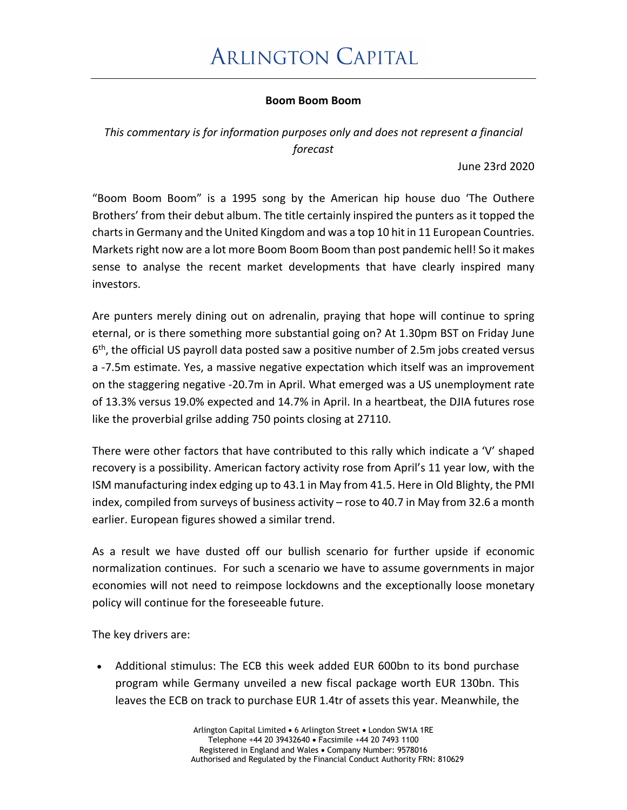## **Boom Boom Boom**

*This commentary is for information purposes only and does not represent a financial forecast*

June 23rd 2020

"Boom Boom Boom" is a 1995 song by the American hip house duo 'The Outhere Brothers' from their debut album. The title certainly inspired the punters as it topped the charts in Germany and the United Kingdom and was a top 10 hit in 11 European Countries. Markets right now are a lot more Boom Boom Boom than post pandemic hell! So it makes sense to analyse the recent market developments that have clearly inspired many investors.

Are punters merely dining out on adrenalin, praying that hope will continue to spring eternal, or is there something more substantial going on? At 1.30pm BST on Friday June 6th, the official US payroll data posted saw a positive number of 2.5m jobs created versus a -7.5m estimate. Yes, a massive negative expectation which itself was an improvement on the staggering negative -20.7m in April. What emerged was a US unemployment rate of 13.3% versus 19.0% expected and 14.7% in April. In a heartbeat, the DJIA futures rose like the proverbial grilse adding 750 points closing at 27110.

There were other factors that have contributed to this rally which indicate a 'V' shaped recovery is a possibility. American factory activity rose from April's 11 year low, with the ISM manufacturing index edging up to 43.1 in May from 41.5. Here in Old Blighty, the PMI index, compiled from surveys of business activity – rose to 40.7 in May from 32.6 a month earlier. European figures showed a similar trend.

As a result we have dusted off our bullish scenario for further upside if economic normalization continues. For such a scenario we have to assume governments in major economies will not need to reimpose lockdowns and the exceptionally loose monetary policy will continue for the foreseeable future.

The key drivers are:

• Additional stimulus: The ECB this week added EUR 600bn to its bond purchase program while Germany unveiled a new fiscal package worth EUR 130bn. This leaves the ECB on track to purchase EUR 1.4tr of assets this year. Meanwhile, the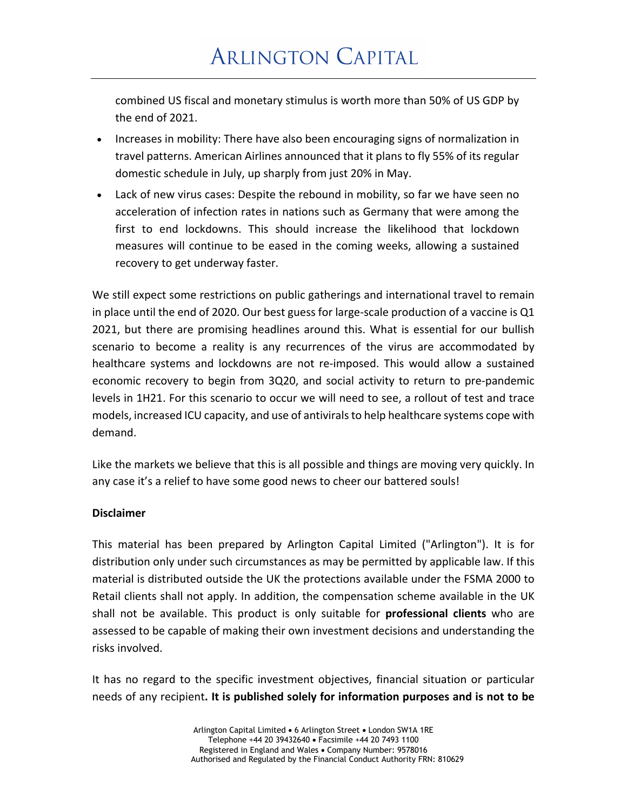combined US fiscal and monetary stimulus is worth more than 50% of US GDP by the end of 2021.

- Increases in mobility: There have also been encouraging signs of normalization in travel patterns. American Airlines announced that it plans to fly 55% of its regular domestic schedule in July, up sharply from just 20% in May.
- Lack of new virus cases: Despite the rebound in mobility, so far we have seen no acceleration of infection rates in nations such as Germany that were among the first to end lockdowns. This should increase the likelihood that lockdown measures will continue to be eased in the coming weeks, allowing a sustained recovery to get underway faster.

We still expect some restrictions on public gatherings and international travel to remain in place until the end of 2020. Our best guess for large-scale production of a vaccine is Q1 2021, but there are promising headlines around this. What is essential for our bullish scenario to become a reality is any recurrences of the virus are accommodated by healthcare systems and lockdowns are not re-imposed. This would allow a sustained economic recovery to begin from 3Q20, and social activity to return to pre-pandemic levels in 1H21. For this scenario to occur we will need to see, a rollout of test and trace models, increased ICU capacity, and use of antivirals to help healthcare systems cope with demand.

Like the markets we believe that this is all possible and things are moving very quickly. In any case it's a relief to have some good news to cheer our battered souls!

## **Disclaimer**

This material has been prepared by Arlington Capital Limited ("Arlington"). It is for distribution only under such circumstances as may be permitted by applicable law. If this material is distributed outside the UK the protections available under the FSMA 2000 to Retail clients shall not apply. In addition, the compensation scheme available in the UK shall not be available. This product is only suitable for **professional clients** who are assessed to be capable of making their own investment decisions and understanding the risks involved.

It has no regard to the specific investment objectives, financial situation or particular needs of any recipient**. It is published solely for information purposes and is not to be**